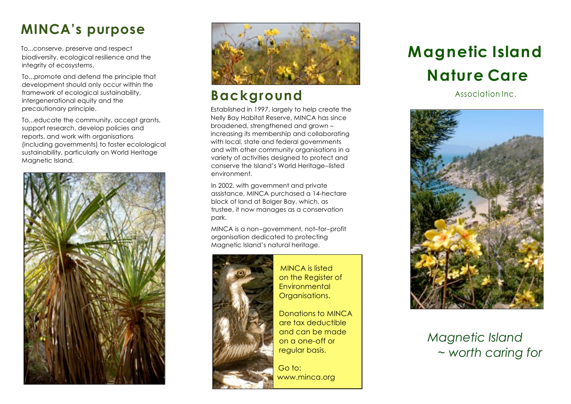## **MINCA's purpose**

To...conserve, preserve and respect biodiversity, ecological resilience and the integrity of ecosystems.

To...promote and defend the principle that development should only occur within the framework of ecological sustainability, intergenerational equity and the precautionary principle.

To...educate the community, accept grants, support research, develop policies and reports, and work with organisations (including governments) to foster ecolological sustainability, particularly on World Heritage Magnetic Island.





### **Background**

Established in 1997, largely to help create the Nelly Bay Habitat Reserve, MINCA has since broadened, strengthened and grown – increasing its membership and collaborating with local, state and federal governments and with other community organisations in a variety of activities designed to protect and conserve the Island's World Heritage-listed environment.

In 2002, with government and private assistance, MINCA purchased a 14-hectare block of land at Bolger Bay, which, as trustee, it now manages as a conservation park.

MINCA is a non-government, not–for-profit organisation dedicated to protecting Magnetic Island's natural heritage.



MINCA is listed on the Register of **Environmental** Organisations.

Donations to MINCA are tax deductible and can be made on a one-off or regular basis.

 Go to: www.minca.org

# **Magnetic Island Nature Care**

Association Inc.



*Magnetic Island*  ~ *worth caring for*